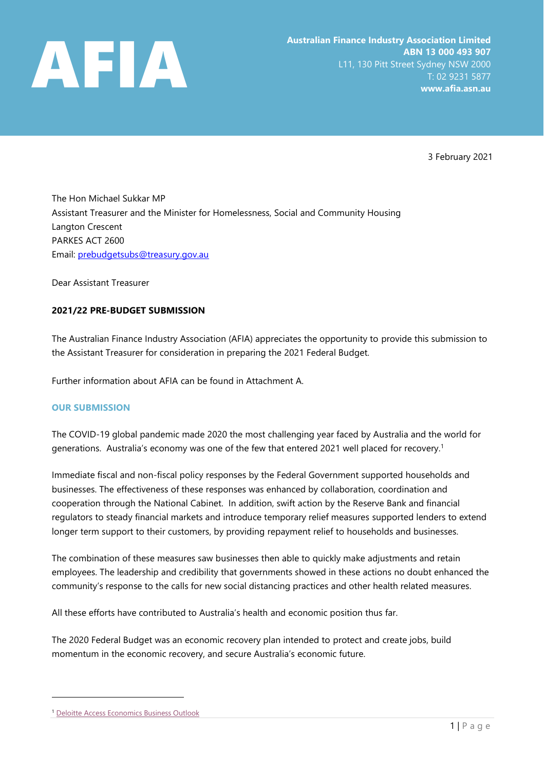

3 February 2021

The Hon Michael Sukkar MP Assistant Treasurer and the Minister for Homelessness, Social and Community Housing Langton Crescent PARKES ACT 2600 Email: [prebudgetsubs@treasury.gov.au](mailto:prebudgetsubs@treasury.gov.au)

Dear Assistant Treasurer

## **2021/22 PRE-BUDGET SUBMISSION**

The Australian Finance Industry Association (AFIA) appreciates the opportunity to provide this submission to the Assistant Treasurer for consideration in preparing the 2021 Federal Budget.

Further information about AFIA can be found in Attachment A.

#### **OUR SUBMISSION**

The COVID-19 global pandemic made 2020 the most challenging year faced by Australia and the world for generations. Australia's economy was one of the few that entered 2021 well placed for recovery. 1

Immediate fiscal and non-fiscal policy responses by the Federal Government supported households and businesses. The effectiveness of these responses was enhanced by collaboration, coordination and cooperation through the National Cabinet. In addition, swift action by the Reserve Bank and financial regulators to steady financial markets and introduce temporary relief measures supported lenders to extend longer term support to their customers, by providing repayment relief to households and businesses.

The combination of these measures saw businesses then able to quickly make adjustments and retain employees. The leadership and credibility that governments showed in these actions no doubt enhanced the community's response to the calls for new social distancing practices and other health related measures.

All these efforts have contributed to Australia's health and economic position thus far.

The 2020 Federal Budget was an economic recovery plan intended to protect and create jobs, build momentum in the economic recovery, and secure Australia's economic future.

<sup>&</sup>lt;sup>1</sup> Deloitte [Access Economics Business Outlook](http://www2.deloitte.com/au/en/pages/media-releases/articles/business-outlook.html/?id=au:2em:3or:4exc-web-2021::6dae:20210119:&utm_source=eloqua&utm_medium=email&utm_campaign=exc-web-2021&utm_content=body&elq_mid=4471&elq_cid=289855)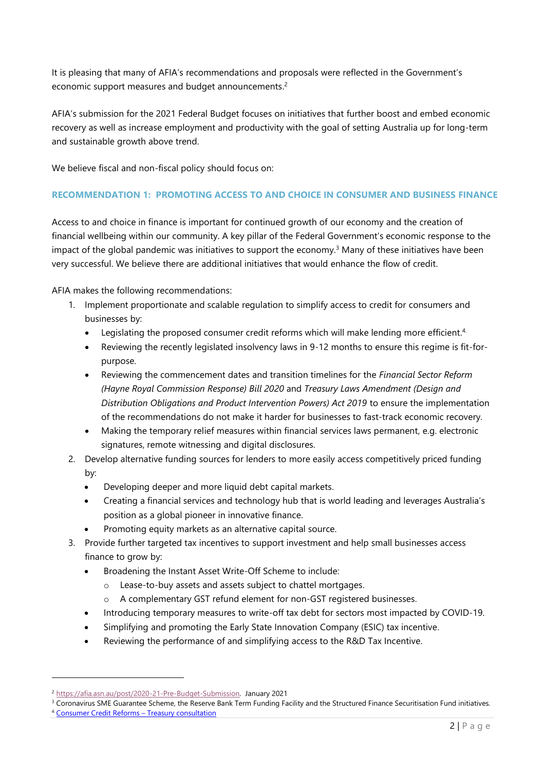It is pleasing that many of AFIA's recommendations and proposals were reflected in the Government's economic support measures and budget announcements.<sup>2</sup>

AFIA's submission for the 2021 Federal Budget focuses on initiatives that further boost and embed economic recovery as well as increase employment and productivity with the goal of setting Australia up for long-term and sustainable growth above trend.

We believe fiscal and non-fiscal policy should focus on:

#### **RECOMMENDATION 1: PROMOTING ACCESS TO AND CHOICE IN CONSUMER AND BUSINESS FINANCE**

Access to and choice in finance is important for continued growth of our economy and the creation of financial wellbeing within our community. A key pillar of the Federal Government's economic response to the impact of the global pandemic was initiatives to support the economy.<sup>3</sup> Many of these initiatives have been very successful. We believe there are additional initiatives that would enhance the flow of credit.

AFIA makes the following recommendations:

- 1. Implement proportionate and scalable regulation to simplify access to credit for consumers and businesses by:
	- Legislating the proposed consumer credit reforms which will make lending more efficient.<sup>4</sup>
	- Reviewing the recently legislated insolvency laws in 9-12 months to ensure this regime is fit-forpurpose.
	- Reviewing the commencement dates and transition timelines for the *Financial Sector Reform (Hayne Royal Commission Response) Bill 2020* and *Treasury Laws Amendment (Design and Distribution Obligations and Product Intervention Powers) Act 2019* to ensure the implementation of the recommendations do not make it harder for businesses to fast-track economic recovery.
	- Making the temporary relief measures within financial services laws permanent, e.g. electronic signatures, remote witnessing and digital disclosures.
- 2. Develop alternative funding sources for lenders to more easily access competitively priced funding by:
	- Developing deeper and more liquid debt capital markets.
	- Creating a financial services and technology hub that is world leading and leverages Australia's position as a global pioneer in innovative finance.
	- Promoting equity markets as an alternative capital source.
- 3. Provide further targeted tax incentives to support investment and help small businesses access finance to grow by:
	- Broadening the Instant Asset Write-Off Scheme to include:
		- o Lease-to-buy assets and assets subject to chattel mortgages.
		- o A complementary GST refund element for non-GST registered businesses.
	- Introducing temporary measures to write-off tax debt for sectors most impacted by COVID-19.
	- Simplifying and promoting the Early State Innovation Company (ESIC) tax incentive.
	- Reviewing the performance of and simplifying access to the R&D Tax Incentive.

<sup>2</sup> [https://afia.asn.au/post/2020-21-Pre-Budget-Submission.](https://afia.asn.au/post/2020-21-Pre-Budget-Submission) January 2021

<sup>&</sup>lt;sup>3</sup> Coronavirus SME Guarantee Scheme, the Reserve Bank Term Funding Facility and the Structured Finance Securitisation Fund initiatives.

<sup>4</sup> [Consumer Credit Reforms](https://treasury.gov.au/consultation/c2020-124502) – Treasury consultation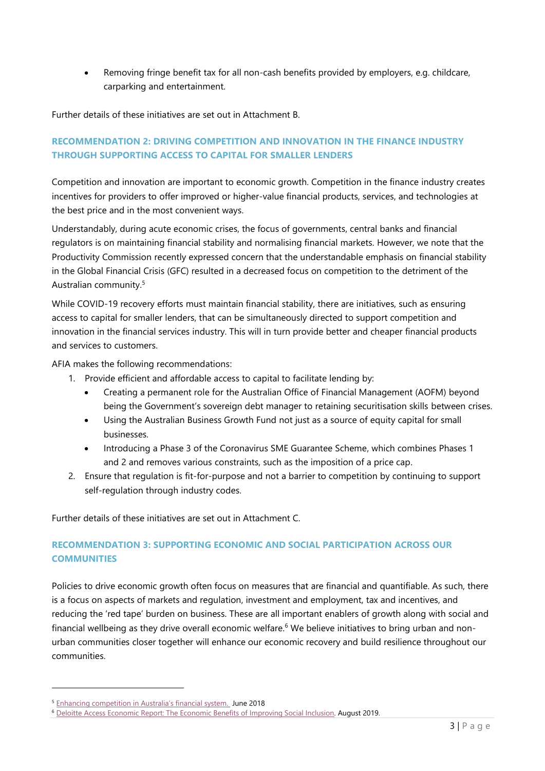Removing fringe benefit tax for all non-cash benefits provided by employers, e.g. childcare, carparking and entertainment.

Further details of these initiatives are set out in Attachment B.

# **RECOMMENDATION 2: DRIVING COMPETITION AND INNOVATION IN THE FINANCE INDUSTRY THROUGH SUPPORTING ACCESS TO CAPITAL FOR SMALLER LENDERS**

Competition and innovation are important to economic growth. Competition in the finance industry creates incentives for providers to offer improved or higher-value financial products, services, and technologies at the best price and in the most convenient ways.

Understandably, during acute economic crises, the focus of governments, central banks and financial regulators is on maintaining financial stability and normalising financial markets. However, we note that the Productivity Commission recently expressed concern that the understandable emphasis on financial stability in the Global Financial Crisis (GFC) resulted in a decreased focus on competition to the detriment of the Australian community.<sup>5</sup>

While COVID-19 recovery efforts must maintain financial stability, there are initiatives, such as ensuring access to capital for smaller lenders, that can be simultaneously directed to support competition and innovation in the financial services industry. This will in turn provide better and cheaper financial products and services to customers.

AFIA makes the following recommendations:

- 1. Provide efficient and affordable access to capital to facilitate lending by:
	- Creating a permanent role for the Australian Office of Financial Management (AOFM) beyond being the Government's sovereign debt manager to retaining securitisation skills between crises.
	- Using the Australian Business Growth Fund not just as a source of equity capital for small businesses.
	- Introducing a Phase 3 of the Coronavirus SME Guarantee Scheme, which combines Phases 1 and 2 and removes various constraints, such as the imposition of a price cap.
- 2. Ensure that regulation is fit-for-purpose and not a barrier to competition by continuing to support self-regulation through industry codes.

Further details of these initiatives are set out in Attachment C.

# **RECOMMENDATION 3: SUPPORTING ECONOMIC AND SOCIAL PARTICIPATION ACROSS OUR COMMUNITIES**

Policies to drive economic growth often focus on measures that are financial and quantifiable. As such, there is a focus on aspects of markets and regulation, investment and employment, tax and incentives, and reducing the 'red tape' burden on business. These are all important enablers of growth along with social and financial wellbeing as they drive overall economic welfare. <sup>6</sup> We believe initiatives to bring urban and nonurban communities closer together will enhance our economic recovery and build resilience throughout our communities.

<sup>5</sup> [Enhancing competition in Australia](https://www.pc.gov.au/news-media/pc-news/pc-news-june-2018/financial-system)'s financial system. June 2018

<sup>6</sup> [Deloitte Access Economic Report: The Economic Benefits of Improving Social Inclusion.](https://www2.deloitte.com/content/dam/Deloitte/my/Documents/risk/my-risk-sdg10-economic-benefits-of-improving-social-inclusion.pdf) August 2019.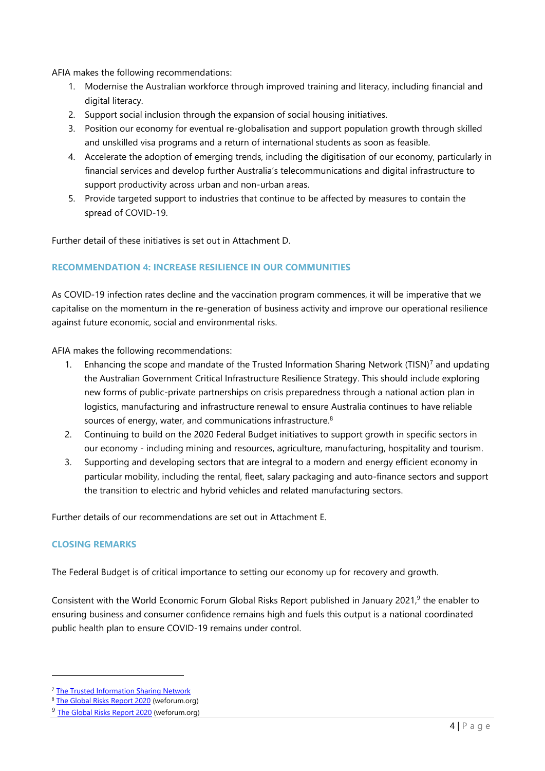AFIA makes the following recommendations:

- 1. Modernise the Australian workforce through improved training and literacy, including financial and digital literacy.
- 2. Support social inclusion through the expansion of social housing initiatives.
- 3. Position our economy for eventual re-globalisation and support population growth through skilled and unskilled visa programs and a return of international students as soon as feasible.
- 4. Accelerate the adoption of emerging trends, including the digitisation of our economy, particularly in financial services and develop further Australia's telecommunications and digital infrastructure to support productivity across urban and non-urban areas.
- 5. Provide targeted support to industries that continue to be affected by measures to contain the spread of COVID-19.

Further detail of these initiatives is set out in Attachment D.

## **RECOMMENDATION 4: INCREASE RESILIENCE IN OUR COMMUNITIES**

As COVID-19 infection rates decline and the vaccination program commences, it will be imperative that we capitalise on the momentum in the re-generation of business activity and improve our operational resilience against future economic, social and environmental risks.

AFIA makes the following recommendations:

- Enhancing the scope and mandate of the Trusted Information Sharing Network (TISN)<sup>7</sup> and updating the Australian Government Critical Infrastructure Resilience Strategy. This should include exploring new forms of public-private partnerships on crisis preparedness through a national action plan in logistics, manufacturing and infrastructure renewal to ensure Australia continues to have reliable sources of energy, water, and communications infrastructure. $8$
- 2. Continuing to build on the 2020 Federal Budget initiatives to support growth in specific sectors in our economy - including mining and resources, agriculture, manufacturing, hospitality and tourism.
- 3. Supporting and developing sectors that are integral to a modern and energy efficient economy in particular mobility, including the rental, fleet, salary packaging and auto-finance sectors and support the transition to electric and hybrid vehicles and related manufacturing sectors.

Further details of our recommendations are set out in Attachment E.

#### **CLOSING REMARKS**

The Federal Budget is of critical importance to setting our economy up for recovery and growth.

Consistent with the World Economic Forum Global Risks Report published in January 2021,<sup>9</sup> the enabler to ensuring business and consumer confidence remains high and fuels this output is a national coordinated public health plan to ensure COVID-19 remains under control.

<sup>7</sup> [The Trusted Information](https://cicentre.gov.au/tisn) Sharing Network

<sup>&</sup>lt;sup>8</sup> [The Global Risks Report 2020](https://www.weforum.org/reports/the-global-risks-report-2020) (weforum.org)

<sup>&</sup>lt;sup>9</sup> [The Global Risks Report 2020](https://www.weforum.org/reports/the-global-risks-report-2020) (weforum.org)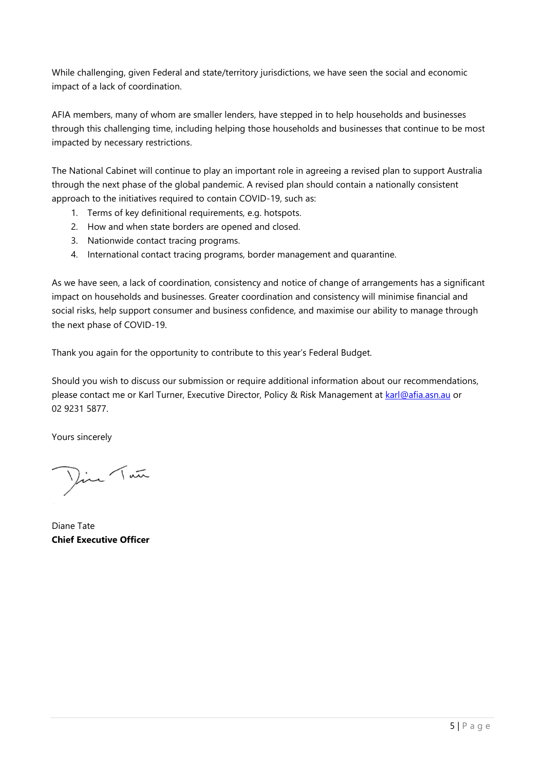While challenging, given Federal and state/territory jurisdictions, we have seen the social and economic impact of a lack of coordination.

AFIA members, many of whom are smaller lenders, have stepped in to help households and businesses through this challenging time, including helping those households and businesses that continue to be most impacted by necessary restrictions.

The National Cabinet will continue to play an important role in agreeing a revised plan to support Australia through the next phase of the global pandemic. A revised plan should contain a nationally consistent approach to the initiatives required to contain COVID-19, such as:

- 1. Terms of key definitional requirements, e.g. hotspots.
- 2. How and when state borders are opened and closed.
- 3. Nationwide contact tracing programs.
- 4. International contact tracing programs, border management and quarantine.

As we have seen, a lack of coordination, consistency and notice of change of arrangements has a significant impact on households and businesses. Greater coordination and consistency will minimise financial and social risks, help support consumer and business confidence, and maximise our ability to manage through the next phase of COVID-19.

Thank you again for the opportunity to contribute to this year's Federal Budget.

Should you wish to discuss our submission or require additional information about our recommendations, please contact me or Karl Turner, Executive Director, Policy & Risk Management at [karl@afia.asn.au](mailto:karl@afia.asn.au) or 02 9231 5877.

Yours sincerely

Dire Tan

Diane Tate **Chief Executive Officer**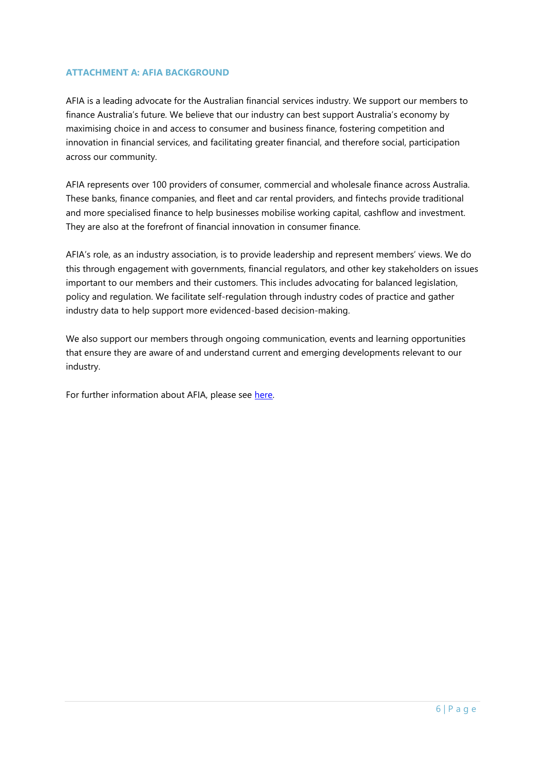#### **ATTACHMENT A: AFIA BACKGROUND**

AFIA is a leading advocate for the Australian financial services industry. We support our members to finance Australia's future. We believe that our industry can best support Australia's economy by maximising choice in and access to consumer and business finance, fostering competition and innovation in financial services, and facilitating greater financial, and therefore social, participation across our community.

AFIA represents over 100 providers of consumer, commercial and wholesale finance across Australia. These banks, finance companies, and fleet and car rental providers, and fintechs provide traditional and more specialised finance to help businesses mobilise working capital, cashflow and investment. They are also at the forefront of financial innovation in consumer finance.

AFIA's role, as an industry association, is to provide leadership and represent members' views. We do this through engagement with governments, financial regulators, and other key stakeholders on issues important to our members and their customers. This includes advocating for balanced legislation, policy and regulation. We facilitate self-regulation through industry codes of practice and gather industry data to help support more evidenced-based decision-making.

We also support our members through ongoing communication, events and learning opportunities that ensure they are aware of and understand current and emerging developments relevant to our industry.

For further information about AFIA, please see here.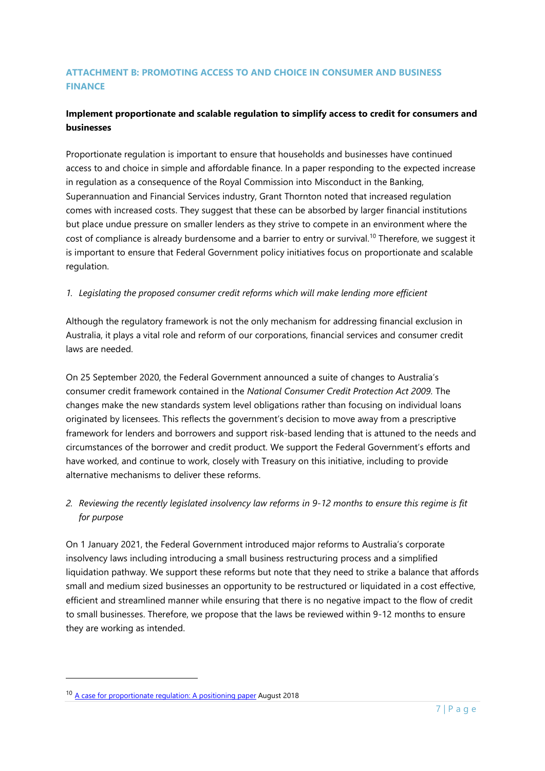# **ATTACHMENT B: PROMOTING ACCESS TO AND CHOICE IN CONSUMER AND BUSINESS FINANCE**

## **Implement proportionate and scalable regulation to simplify access to credit for consumers and businesses**

Proportionate regulation is important to ensure that households and businesses have continued access to and choice in simple and affordable finance. In a paper responding to the expected increase in regulation as a consequence of the Royal Commission into Misconduct in the Banking, Superannuation and Financial Services industry, Grant Thornton noted that increased regulation comes with increased costs. They suggest that these can be absorbed by larger financial institutions but place undue pressure on smaller lenders as they strive to compete in an environment where the cost of compliance is already burdensome and a barrier to entry or survival.<sup>10</sup> Therefore, we suggest it is important to ensure that Federal Government policy initiatives focus on proportionate and scalable regulation.

## *1. Legislating the proposed consumer credit reforms which will make lending more efficient*

Although the regulatory framework is not the only mechanism for addressing financial exclusion in Australia, it plays a vital role and reform of our corporations, financial services and consumer credit laws are needed.

On 25 September 2020, the Federal Government announced a suite of changes to Australia's consumer credit framework contained in the *National Consumer Credit Protection Act 2009.* The changes make the new standards system level obligations rather than focusing on individual loans originated by licensees. This reflects the government's decision to move away from a prescriptive framework for lenders and borrowers and support risk-based lending that is attuned to the needs and circumstances of the borrower and credit product. We support the Federal Government's efforts and have worked, and continue to work, closely with Treasury on this initiative, including to provide alternative mechanisms to deliver these reforms.

# *2. Reviewing the recently legislated insolvency law reforms in 9-12 months to ensure this regime is fit for purpose*

On 1 January 2021, the Federal Government introduced major reforms to Australia's corporate insolvency laws including introducing a small business restructuring process and a simplified liquidation pathway. We support these reforms but note that they need to strike a balance that affords small and medium sized businesses an opportunity to be restructured or liquidated in a cost effective, efficient and streamlined manner while ensuring that there is no negative impact to the flow of credit to small businesses. Therefore, we propose that the laws be reviewed within 9-12 months to ensure they are working as intended.

<sup>&</sup>lt;sup>10</sup> [A case for proportionate regulation: A positioning paper](https://www.grantthornton.com.au/globalassets/1.-member-firms/australian-website/industry/financial-services/pdfs/gtal_2018_grant-thornton-case-for-proportionate-regulation-positioning-paper_final.pdf) August 2018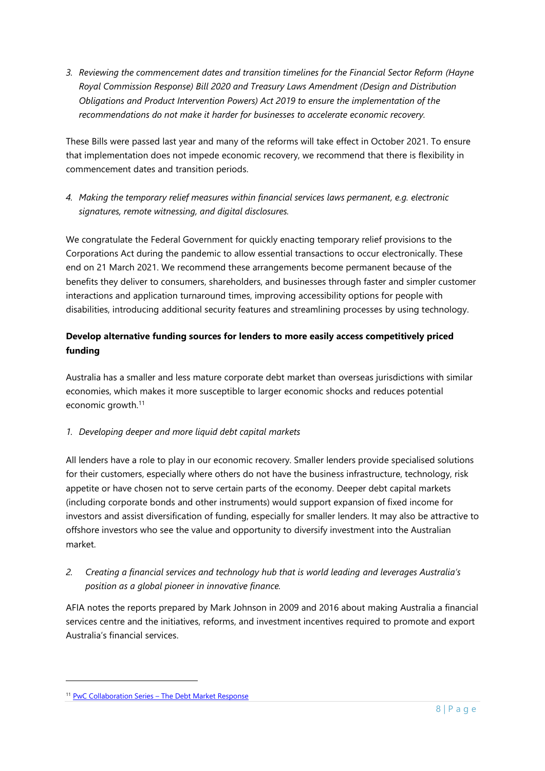*3. Reviewing the commencement dates and transition timelines for the Financial Sector Reform (Hayne Royal Commission Response) Bill 2020 and Treasury Laws Amendment (Design and Distribution Obligations and Product Intervention Powers) Act 2019 to ensure the implementation of the recommendations do not make it harder for businesses to accelerate economic recovery.*

These Bills were passed last year and many of the reforms will take effect in October 2021. To ensure that implementation does not impede economic recovery, we recommend that there is flexibility in commencement dates and transition periods.

*4. Making the temporary relief measures within financial services laws permanent, e.g. electronic signatures, remote witnessing, and digital disclosures.*

We congratulate the Federal Government for quickly enacting temporary relief provisions to the Corporations Act during the pandemic to allow essential transactions to occur electronically. These end on 21 March 2021. We recommend these arrangements become permanent because of the benefits they deliver to consumers, shareholders, and businesses through faster and simpler customer interactions and application turnaround times, improving accessibility options for people with disabilities, introducing additional security features and streamlining processes by using technology.

# **Develop alternative funding sources for lenders to more easily access competitively priced funding**

Australia has a smaller and less mature corporate debt market than overseas jurisdictions with similar economies, which makes it more susceptible to larger economic shocks and reduces potential economic growth.<sup>11</sup>

# *1. Developing deeper and more liquid debt capital markets*

All lenders have a role to play in our economic recovery. Smaller lenders provide specialised solutions for their customers, especially where others do not have the business infrastructure, technology, risk appetite or have chosen not to serve certain parts of the economy. Deeper debt capital markets (including corporate bonds and other instruments) would support expansion of fixed income for investors and assist diversification of funding, especially for smaller lenders. It may also be attractive to offshore investors who see the value and opportunity to diversify investment into the Australian market.

# *2. Creating a financial services and technology hub that is world leading and leverages Australia's position as a global pioneer in innovative finance.*

AFIA notes the reports prepared by Mark Johnson in 2009 and 2016 about making Australia a financial services centre and the initiatives, reforms, and investment incentives required to promote and export Australia's financial services.

<sup>&</sup>lt;sup>11</sup> PwC Collaboration Series – [The Debt Market Response](https://www.pwc.com.au/about-us/insights/non-executive-directors/debt-markets-response.html)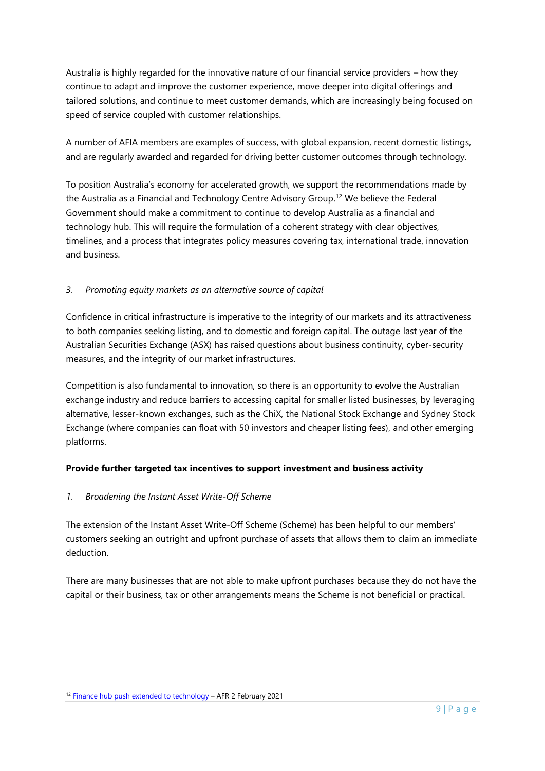Australia is highly regarded for the innovative nature of our financial service providers – how they continue to adapt and improve the customer experience, move deeper into digital offerings and tailored solutions, and continue to meet customer demands, which are increasingly being focused on speed of service coupled with customer relationships.

A number of AFIA members are examples of success, with global expansion, recent domestic listings, and are regularly awarded and regarded for driving better customer outcomes through technology.

To position Australia's economy for accelerated growth, we support the recommendations made by the Australia as a Financial and Technology Centre Advisory Group.<sup>12</sup> We believe the Federal Government should make a commitment to continue to develop Australia as a financial and technology hub. This will require the formulation of a coherent strategy with clear objectives, timelines, and a process that integrates policy measures covering tax, international trade, innovation and business.

## *3. Promoting equity markets as an alternative source of capital*

Confidence in critical infrastructure is imperative to the integrity of our markets and its attractiveness to both companies seeking listing, and to domestic and foreign capital. The outage last year of the Australian Securities Exchange (ASX) has raised questions about business continuity, cyber-security measures, and the integrity of our market infrastructures.

Competition is also fundamental to innovation, so there is an opportunity to evolve the Australian exchange industry and reduce barriers to accessing capital for smaller listed businesses, by leveraging alternative, lesser-known exchanges, such as the ChiX, the National Stock Exchange and Sydney Stock Exchange (where companies can float with 50 investors and cheaper listing fees), and other emerging platforms.

# **Provide further targeted tax incentives to support investment and business activity**

## *1. Broadening the Instant Asset Write-Off Scheme*

The extension of the Instant Asset Write-Off Scheme (Scheme) has been helpful to our members' customers seeking an outright and upfront purchase of assets that allows them to claim an immediate deduction.

There are many businesses that are not able to make upfront purchases because they do not have the capital or their business, tax or other arrangements means the Scheme is not beneficial or practical.

<sup>12</sup> [Finance hub push extended to technology](https://www.afr.com/companies/financial-services/finance-hub-push-extended-to-technology-20210201-p56yg3) - AFR 2 February 2021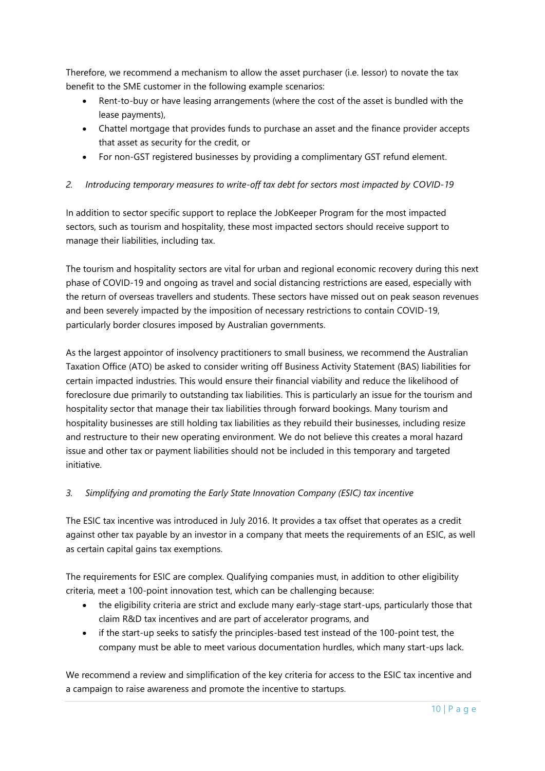Therefore, we recommend a mechanism to allow the asset purchaser (i.e. lessor) to novate the tax benefit to the SME customer in the following example scenarios:

- Rent-to-buy or have leasing arrangements (where the cost of the asset is bundled with the lease payments),
- Chattel mortgage that provides funds to purchase an asset and the finance provider accepts that asset as security for the credit, or
- For non-GST registered businesses by providing a complimentary GST refund element.

## *2. Introducing temporary measures to write-off tax debt for sectors most impacted by COVID-19*

In addition to sector specific support to replace the JobKeeper Program for the most impacted sectors, such as tourism and hospitality, these most impacted sectors should receive support to manage their liabilities, including tax.

The tourism and hospitality sectors are vital for urban and regional economic recovery during this next phase of COVID-19 and ongoing as travel and social distancing restrictions are eased, especially with the return of overseas travellers and students. These sectors have missed out on peak season revenues and been severely impacted by the imposition of necessary restrictions to contain COVID-19, particularly border closures imposed by Australian governments.

As the largest appointor of insolvency practitioners to small business, we recommend the Australian Taxation Office (ATO) be asked to consider writing off Business Activity Statement (BAS) liabilities for certain impacted industries. This would ensure their financial viability and reduce the likelihood of foreclosure due primarily to outstanding tax liabilities. This is particularly an issue for the tourism and hospitality sector that manage their tax liabilities through forward bookings. Many tourism and hospitality businesses are still holding tax liabilities as they rebuild their businesses, including resize and restructure to their new operating environment. We do not believe this creates a moral hazard issue and other tax or payment liabilities should not be included in this temporary and targeted initiative.

## *3. Simplifying and promoting the Early State Innovation Company (ESIC) tax incentive*

The ESIC tax incentive was introduced in July 2016. It provides a tax offset that operates as a credit against other tax payable by an investor in a company that meets the requirements of an ESIC, as well as certain capital gains tax exemptions.

The requirements for ESIC are complex. Qualifying companies must, in addition to other eligibility criteria, meet a 100-point innovation test, which can be challenging because:

- the eligibility criteria are strict and exclude many early-stage start-ups, particularly those that claim R&D tax incentives and are part of accelerator programs, and
- if the start-up seeks to satisfy the principles-based test instead of the 100-point test, the company must be able to meet various documentation hurdles, which many start-ups lack.

We recommend a review and simplification of the key criteria for access to the ESIC tax incentive and a campaign to raise awareness and promote the incentive to startups.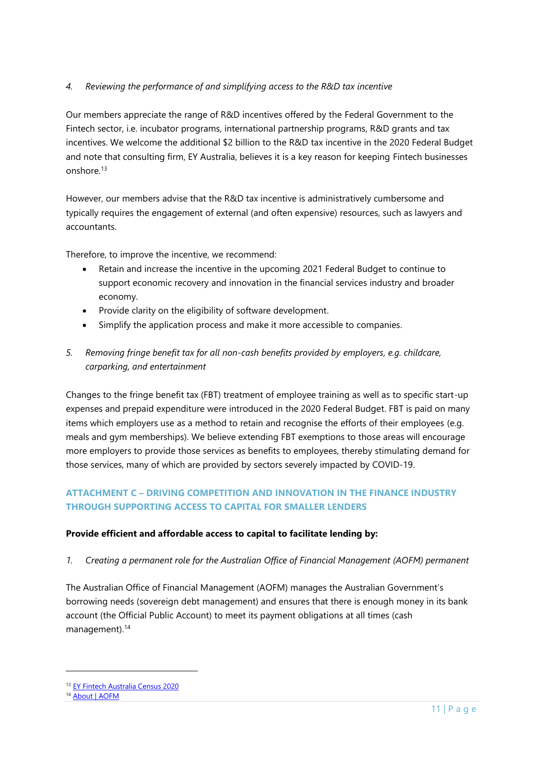## *4. Reviewing the performance of and simplifying access to the R&D tax incentive*

Our members appreciate the range of R&D incentives offered by the Federal Government to the Fintech sector, i.e. incubator programs, international partnership programs, R&D grants and tax incentives. We welcome the additional \$2 billion to the R&D tax incentive in the 2020 Federal Budget and note that consulting firm, EY Australia, believes it is a key reason for keeping Fintech businesses onshore<sup>13</sup>

However, our members advise that the R&D tax incentive is administratively cumbersome and typically requires the engagement of external (and often expensive) resources, such as lawyers and accountants.

Therefore, to improve the incentive, we recommend:

- Retain and increase the incentive in the upcoming 2021 Federal Budget to continue to support economic recovery and innovation in the financial services industry and broader economy.
- Provide clarity on the eligibility of software development.
- Simplify the application process and make it more accessible to companies.
- *5. Removing fringe benefit tax for all non-cash benefits provided by employers, e.g. childcare, carparking, and entertainment*

Changes to the fringe benefit tax (FBT) treatment of employee training as well as to specific start-up expenses and prepaid expenditure were introduced in the 2020 Federal Budget. FBT is paid on many items which employers use as a method to retain and recognise the efforts of their employees (e.g. meals and gym memberships). We believe extending FBT exemptions to those areas will encourage more employers to provide those services as benefits to employees, thereby stimulating demand for those services, many of which are provided by sectors severely impacted by COVID-19.

# **ATTACHMENT C – DRIVING COMPETITION AND INNOVATION IN THE FINANCE INDUSTRY THROUGH SUPPORTING ACCESS TO CAPITAL FOR SMALLER LENDERS**

## **Provide efficient and affordable access to capital to facilitate lending by:**

*1. Creating a permanent role for the Australian Office of Financial Management (AOFM) permanent*

The Australian Office of Financial Management (AOFM) manages the Australian Government's borrowing needs (sovereign debt management) and ensures that there is enough money in its bank account (the Official Public Account) to meet its payment obligations at all times (cash management). 14

<sup>13</sup> EY [Fintech Australia Census](https://assets.ey.com/content/dam/ey-sites/ey-com/en_au/pdfs/ey-fintech-census-report2020.pdf) 2020

<sup>&</sup>lt;sup>14</sup> [About | AOFM](https://www.aofm.gov.au/)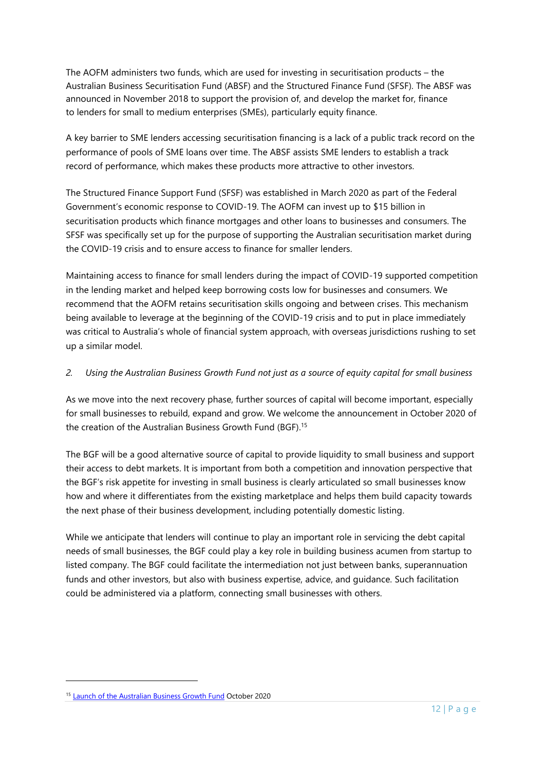The AOFM administers two funds, which are used for investing in securitisation products – the Australian Business Securitisation Fund (ABSF) and the Structured Finance Fund (SFSF). The ABSF was announced in November 2018 to support the provision of, and develop the market for, finance to lenders for small to medium enterprises (SMEs), particularly equity finance.

A key barrier to SME lenders accessing securitisation financing is a lack of a public track record on the performance of pools of SME loans over time. The ABSF assists SME lenders to establish a track record of performance, which makes these products more attractive to other investors.

The Structured Finance Support Fund (SFSF) was established in March 2020 as part of the Federal Government's economic response to COVID-19. The AOFM can invest up to \$15 billion in securitisation products which finance mortgages and other loans to businesses and consumers. The SFSF was specifically set up for the purpose of supporting the Australian securitisation market during the COVID-19 crisis and to ensure access to finance for smaller lenders.

Maintaining access to finance for small lenders during the impact of COVID-19 supported competition in the lending market and helped keep borrowing costs low for businesses and consumers. We recommend that the AOFM retains securitisation skills ongoing and between crises. This mechanism being available to leverage at the beginning of the COVID-19 crisis and to put in place immediately was critical to Australia's whole of financial system approach, with overseas jurisdictions rushing to set up a similar model.

## *2. Using the Australian Business Growth Fund not just as a source of equity capital for small business*

As we move into the next recovery phase, further sources of capital will become important, especially for small businesses to rebuild, expand and grow. We welcome the announcement in October 2020 of the creation of the Australian Business Growth Fund (BGF).<sup>15</sup>

The BGF will be a good alternative source of capital to provide liquidity to small business and support their access to debt markets. It is important from both a competition and innovation perspective that the BGF's risk appetite for investing in small business is clearly articulated so small businesses know how and where it differentiates from the existing marketplace and helps them build capacity towards the next phase of their business development, including potentially domestic listing.

While we anticipate that lenders will continue to play an important role in servicing the debt capital needs of small businesses, the BGF could play a key role in building business acumen from startup to listed company. The BGF could facilitate the intermediation not just between banks, superannuation funds and other investors, but also with business expertise, advice, and guidance. Such facilitation could be administered via a platform, connecting small businesses with others.

<sup>&</sup>lt;sup>15</sup> [Launch of the Australian Business Growth Fund](https://ministers.treasury.gov.au/ministers/josh-frydenberg-2018/media-releases/launch-australian-business-growth-fund) October 2020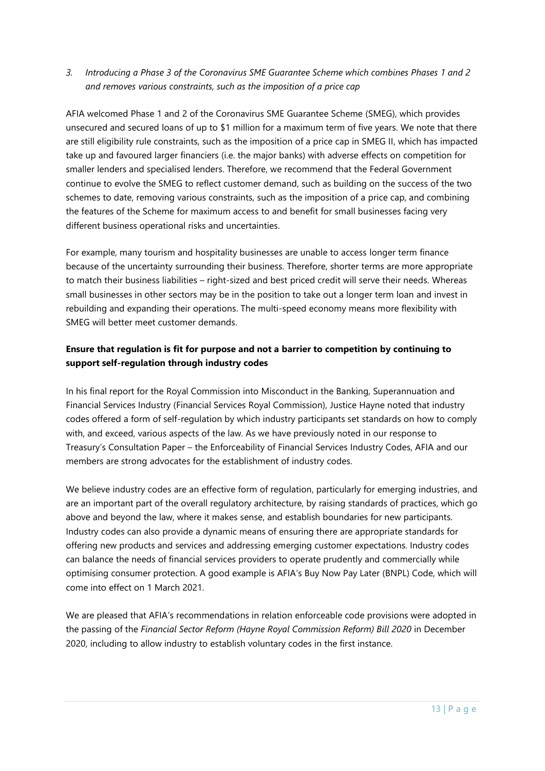# *3. Introducing a Phase 3 of the Coronavirus SME Guarantee Scheme which combines Phases 1 and 2 and removes various constraints, such as the imposition of a price cap*

AFIA welcomed Phase 1 and 2 of the Coronavirus SME Guarantee Scheme (SMEG), which provides unsecured and secured loans of up to \$1 million for a maximum term of five years. We note that there are still eligibility rule constraints, such as the imposition of a price cap in SMEG II, which has impacted take up and favoured larger financiers (i.e. the major banks) with adverse effects on competition for smaller lenders and specialised lenders. Therefore, we recommend that the Federal Government continue to evolve the SMEG to reflect customer demand, such as building on the success of the two schemes to date, removing various constraints, such as the imposition of a price cap, and combining the features of the Scheme for maximum access to and benefit for small businesses facing very different business operational risks and uncertainties.

For example, many tourism and hospitality businesses are unable to access longer term finance because of the uncertainty surrounding their business. Therefore, shorter terms are more appropriate to match their business liabilities – right-sized and best priced credit will serve their needs. Whereas small businesses in other sectors may be in the position to take out a longer term loan and invest in rebuilding and expanding their operations. The multi-speed economy means more flexibility with SMEG will better meet customer demands.

# **Ensure that regulation is fit for purpose and not a barrier to competition by continuing to support self-regulation through industry codes**

In his final report for the Royal Commission into Misconduct in the Banking, Superannuation and Financial Services Industry (Financial Services Royal Commission), Justice Hayne noted that industry codes offered a form of self-regulation by which industry participants set standards on how to comply with, and exceed, various aspects of the law. As we have previously noted in our response to Treasury's Consultation Paper – the Enforceability of Financial Services Industry Codes, AFIA and our members are strong advocates for the establishment of industry codes.

We believe industry codes are an effective form of regulation, particularly for emerging industries, and are an important part of the overall regulatory architecture, by raising standards of practices, which go above and beyond the law, where it makes sense, and establish boundaries for new participants. Industry codes can also provide a dynamic means of ensuring there are appropriate standards for offering new products and services and addressing emerging customer expectations. Industry codes can balance the needs of financial services providers to operate prudently and commercially while optimising consumer protection. A good example is AFIA's Buy Now Pay Later (BNPL) Code, which will come into effect on 1 March 2021.

We are pleased that AFIA's recommendations in relation enforceable code provisions were adopted in the passing of the *Financial Sector Reform (Hayne Royal Commission Reform) Bill 2020* in December 2020, including to allow industry to establish voluntary codes in the first instance.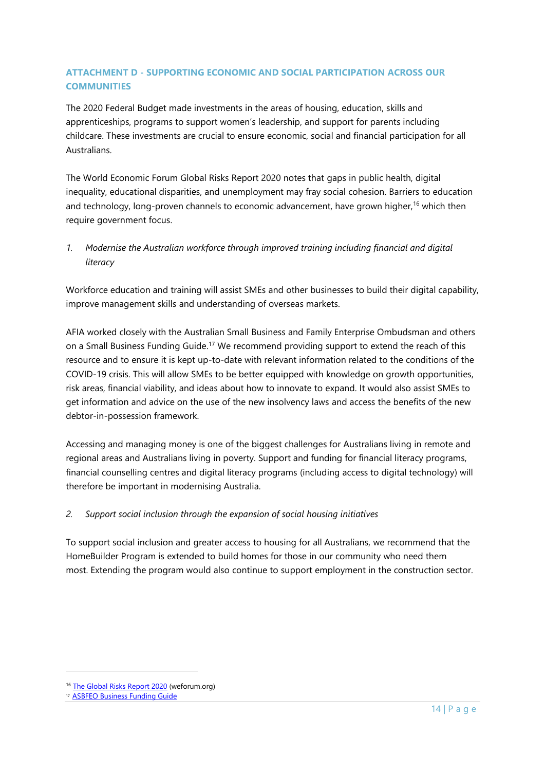# **ATTACHMENT D - SUPPORTING ECONOMIC AND SOCIAL PARTICIPATION ACROSS OUR COMMUNITIES**

The 2020 Federal Budget made investments in the areas of housing, education, skills and apprenticeships, programs to support women's leadership, and support for parents including childcare. These investments are crucial to ensure economic, social and financial participation for all Australians.

The World Economic Forum Global Risks Report 2020 notes that gaps in public health, digital inequality, educational disparities, and unemployment may fray social cohesion. Barriers to education and technology, long-proven channels to economic advancement, have grown higher,<sup>16</sup> which then require government focus.

*1. Modernise the Australian workforce through improved training including financial and digital literacy*

Workforce education and training will assist SMEs and other businesses to build their digital capability, improve management skills and understanding of overseas markets.

AFIA worked closely with the Australian Small Business and Family Enterprise Ombudsman and others on a Small Business Funding Guide.<sup>17</sup> We recommend providing support to extend the reach of this resource and to ensure it is kept up-to-date with relevant information related to the conditions of the COVID-19 crisis. This will allow SMEs to be better equipped with knowledge on growth opportunities, risk areas, financial viability, and ideas about how to innovate to expand. It would also assist SMEs to get information and advice on the use of the new insolvency laws and access the benefits of the new debtor-in-possession framework.

Accessing and managing money is one of the biggest challenges for Australians living in remote and regional areas and Australians living in poverty. Support and funding for financial literacy programs, financial counselling centres and digital literacy programs (including access to digital technology) will therefore be important in modernising Australia.

## *2. Support social inclusion through the expansion of social housing initiatives*

To support social inclusion and greater access to housing for all Australians, we recommend that the HomeBuilder Program is extended to build homes for those in our community who need them most. Extending the program would also continue to support employment in the construction sector.

<sup>&</sup>lt;sup>16</sup> [The Global Risks Report 2020](https://www.weforum.org/reports/the-global-risks-report-2020) (weforum.org)

<sup>17</sup> **[ASBFEO Business Funding Guide](https://www.asbfeo.gov.au/resources/business-funding-guide)**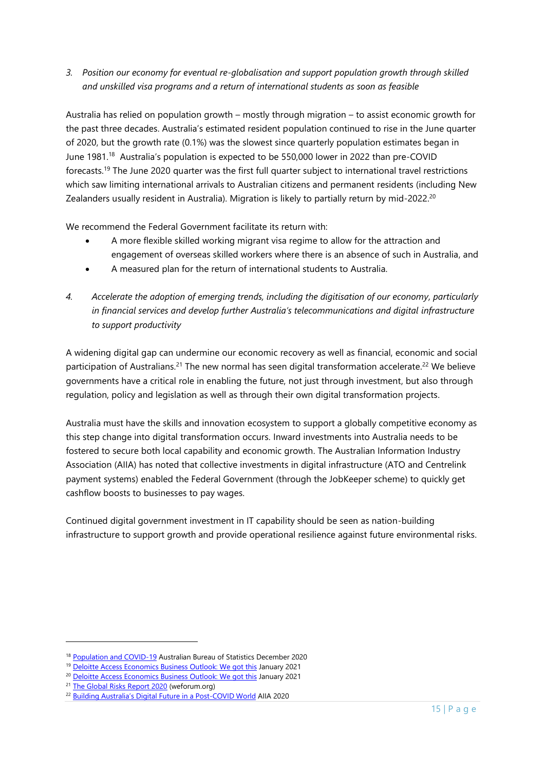*3. Position our economy for eventual re-globalisation and support population growth through skilled and unskilled visa programs and a return of international students as soon as feasible* 

Australia has relied on population growth – mostly through migration – [to assist economic growth for](https://www.theguardian.com/australia-news/2018/nov/20/scott-morrison-flags-cutting-migration-in-response-to-population-concerns)  [the past three decades.](https://www.theguardian.com/australia-news/2018/nov/20/scott-morrison-flags-cutting-migration-in-response-to-population-concerns) Australia's estimated resident population continued to rise in the June quarter of 2020, but the growth rate (0.1%) was the slowest since quarterly population estimates began in June 1981.<sup>18</sup> Australia's population is expected to be 550,000 lower in 2022 than pre-COVID forecasts.<sup>19</sup> The June 2020 quarter was the first full quarter subject to international travel restrictions which saw limiting international arrivals to Australian citizens and permanent residents (including New Zealanders usually resident in Australia). Migration is likely to partially return by mid-2022.<sup>20</sup>

We recommend the Federal Government facilitate its return with:

- A more flexible skilled working migrant visa regime to allow for the attraction and engagement of overseas skilled workers where there is an absence of such in Australia, and
- A measured plan for the return of international students to Australia.
- *4. Accelerate the adoption of emerging trends, including the digitisation of our economy, particularly in financial services and develop further Australia's telecommunications and digital infrastructure to support productivity*

A widening digital gap can undermine our economic recovery as well as financial, economic and social participation of Australians.<sup>21</sup> The new normal has seen digital transformation accelerate.<sup>22</sup> We believe governments have a critical role in enabling the future, not just through investment, but also through regulation, policy and legislation as well as through their own digital transformation projects.

Australia must have the skills and innovation ecosystem to support a globally competitive economy as this step change into digital transformation occurs. Inward investments into Australia needs to be fostered to secure both local capability and economic growth. The Australian Information Industry Association (AIIA) has noted that collective investments in digital infrastructure (ATO and Centrelink payment systems) enabled the Federal Government (through the JobKeeper scheme) to quickly get cashflow boosts to businesses to pay wages.

Continued digital government investment in IT capability should be seen as nation-building infrastructure to support growth and provide operational resilience against future environmental risks.

<sup>18</sup> [Population and](https://www.abs.gov.au/articles/population-and-covid-19#what-is-slowing-the-growth-) COVID-19 Australian Bureau of Statistics December 2020

<sup>&</sup>lt;sup>19</sup> Deloitte [Access Economics Business Outlook:](https://www2.deloitte.com/au/en/pages/media-releases/articles/business-outlook.html?id=au:2em:3or:4exc-web-2021::6dae:20210119:&utm_source=eloqua&utm_medium=email&utm_campaign=exc-web-2021&utm_content=body&elq_mid=4471&elq_cid=289855) We got this January 2021

<sup>&</sup>lt;sup>20</sup> Deloitte [Access Economics Business Outlook:](https://www2.deloitte.com/au/en/pages/media-releases/articles/business-outlook.html?id=au:2em:3or:4exc-web-2021::6dae:20210119:&utm_source=eloqua&utm_medium=email&utm_campaign=exc-web-2021&utm_content=body&elq_mid=4471&elq_cid=289855) We got this January 2021

<sup>&</sup>lt;sup>21</sup> [The Global Risks Report 2020](https://www.weforum.org/reports/the-global-risks-report-2020) (weforum.org)

<sup>22</sup> Building Australia'[s Digital Future in a Post-COVID World](ttps://aiia.com.au/__data/assets/pdf_file/0017/103562/Building-Australias-Digital-Future-in-a-Post-COVID-World-AIIA-Whitepaper-2020.pdf) AIIA 2020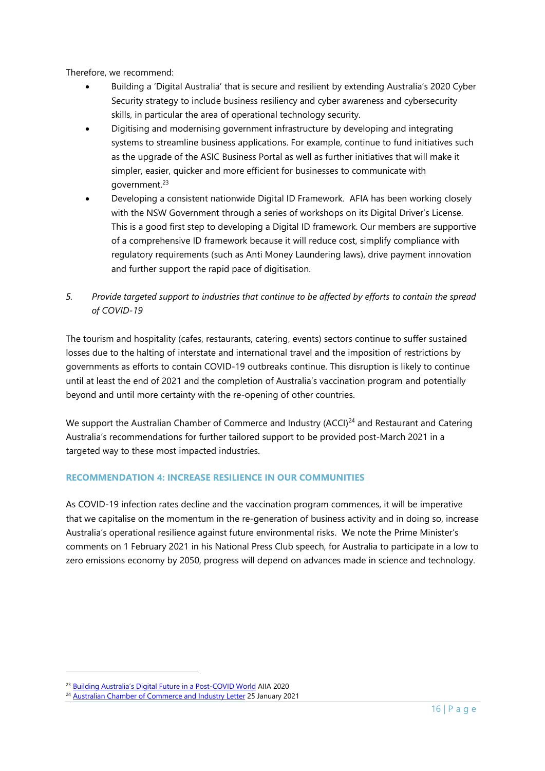Therefore, we recommend:

- Building a 'Digital Australia' that is secure and resilient by extending Australia's 2020 Cyber Security strategy to include business resiliency and cyber awareness and cybersecurity skills, in particular the area of operational technology security.
- Digitising and modernising government infrastructure by developing and integrating systems to streamline business applications. For example, continue to fund initiatives such as the upgrade of the ASIC Business Portal as well as further initiatives that will make it simpler, easier, quicker and more efficient for businesses to communicate with government.<sup>23</sup>
- Developing a consistent nationwide Digital ID Framework. AFIA has been working closely with the NSW Government through a series of workshops on its Digital Driver's License. This is a good first step to developing a Digital ID framework. Our members are supportive of a comprehensive ID framework because it will reduce cost, simplify compliance with regulatory requirements (such as Anti Money Laundering laws), drive payment innovation and further support the rapid pace of digitisation.
- *5. Provide targeted support to industries that continue to be affected by efforts to contain the spread of COVID-19*

The tourism and hospitality (cafes, restaurants, catering, events) sectors continue to suffer sustained losses due to the halting of interstate and international travel and the imposition of restrictions by governments as efforts to contain COVID-19 outbreaks continue. This disruption is likely to continue until at least the end of 2021 and the completion of Australia's vaccination program and potentially beyond and until more certainty with the re-opening of other countries.

We support the Australian Chamber of Commerce and Industry (ACCI)<sup>24</sup> and Restaurant and Catering Australia's recommendations for further tailored support to be provided post-March 2021 in a targeted way to these most impacted industries.

## **RECOMMENDATION 4: INCREASE RESILIENCE IN OUR COMMUNITIES**

As COVID-19 infection rates decline and the vaccination program commences, it will be imperative that we capitalise on the momentum in the re-generation of business activity and in doing so, increase Australia's operational resilience against future environmental risks. We note the Prime Minister's comments on 1 February 2021 in his National Press Club speech, for Australia to participate in a low to zero emissions economy by 2050, progress will depend on advances made in science and technology.

<sup>&</sup>lt;sup>23</sup> Building Australia'[s Digital Future in a Post-COVID World](ttps://aiia.com.au/__data/assets/pdf_file/0017/103562/Building-Australias-Digital-Future-in-a-Post-COVID-World-AIIA-Whitepaper-2020.pdf) AIIA 2020

<sup>&</sup>lt;sup>24</sup> [Australian Chamber of Commerce and Industry Letter](https://australianchambercovid.com/wp-content/uploads/2021/01/20210125-ACCI-Letter-to-Treasurer-support-for-business-impacted-by-Govt-restrictions.pdf) 25 January 2021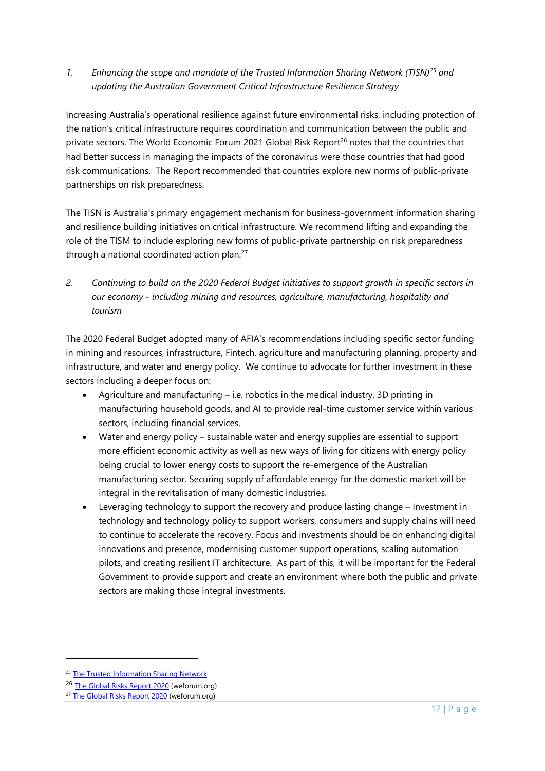*1. Enhancing the scope and mandate of the Trusted Information Sharing Network (TISN)<sup>25</sup> and updating the Australian Government Critical Infrastructure Resilience Strategy* 

Increasing Australia's operational resilience against future environmental risks, including protection of the nation's critical infrastructure requires coordination and communication between the public and private sectors. The World Economic Forum 2021 Global Risk Report<sup>26</sup> notes that the countries that had better success in managing the impacts of the coronavirus were those countries that had good risk communications. The Report recommended that countries explore new norms of public-private partnerships on risk preparedness.

The TISN is Australia's primary engagement mechanism for business-government information sharing and resilience building initiatives on critical infrastructure. We recommend lifting and expanding the role of the TISM to include exploring new forms of public-private partnership on risk preparedness through a national coordinated action plan. 27

*2. Continuing to build on the 2020 Federal Budget initiatives to support growth in specific sectors in our economy - including mining and resources, agriculture, manufacturing, hospitality and tourism*

The 2020 Federal Budget adopted many of AFIA's recommendations including specific sector funding in mining and resources, infrastructure, Fintech, agriculture and manufacturing planning, property and infrastructure, and water and energy policy. We continue to advocate for further investment in these sectors including a deeper focus on:

- Agriculture and manufacturing i.e. robotics in the medical industry, 3D printing in manufacturing household goods, and AI to provide real-time customer service within various sectors, including financial services.
- Water and energy policy sustainable water and energy supplies are essential to support more efficient economic activity as well as new ways of living for citizens with energy policy being crucial to lower energy costs to support the re-emergence of the Australian manufacturing sector. Securing supply of affordable energy for the domestic market will be integral in the revitalisation of many domestic industries.
- Leveraging technology to support the recovery and produce lasting change Investment in technology and technology policy to support workers, consumers and supply chains will need to continue to accelerate the recovery. Focus and investments should be on enhancing digital innovations and presence, modernising customer support operations, scaling automation pilots, and creating resilient IT architecture. As part of this, it will be important for the Federal Government to provide support and create an environment where both the public and private sectors are making those integral investments.

<sup>&</sup>lt;sup>25</sup> [The Trusted Information](https://cicentre.gov.au/tisn) Sharing Network

<sup>26</sup> [The Global Risks Report 2020](https://www.weforum.org/reports/the-global-risks-report-2020) (weforum.org)

<sup>&</sup>lt;sup>27</sup> [The Global Risks Report 2020](https://www.weforum.org/reports/the-global-risks-report-2020) (weforum.org)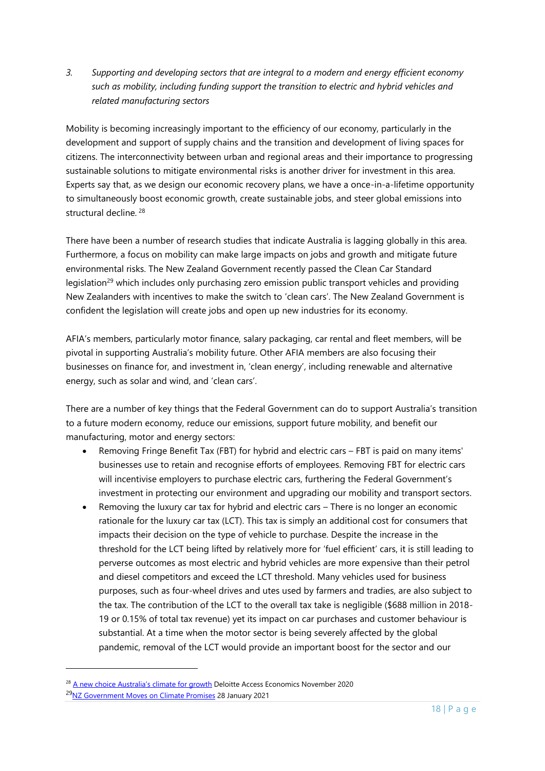*3. Supporting and developing sectors that are integral to a modern and energy efficient economy such as mobility, including funding support the transition to electric and hybrid vehicles and related manufacturing sectors*

Mobility is becoming increasingly important to the efficiency of our economy, particularly in the development and support of supply chains and the transition and development of living spaces for citizens. The interconnectivity between urban and regional areas and their importance to progressing sustainable solutions to mitigate environmental risks is another driver for investment in this area. Experts say that, as we design our economic recovery plans, we have a once-in-a-lifetime opportunity to simultaneously boost economic growth, create sustainable jobs, and steer global emissions into structural decline. <sup>28</sup>

There have been a number of research studies that indicate Australia is lagging globally in this area. Furthermore, a focus on mobility can make large impacts on jobs and growth and mitigate future environmental risks. The New Zealand Government recently passed the Clean Car Standard legislation<sup>29</sup> which includes only purchasing zero emission public transport vehicles and providing New Zealanders with incentives to make the switch to 'clean cars'. The New Zealand Government is confident the legislation will create jobs and open up new industries for its economy.

AFIA's members, particularly motor finance, salary packaging, car rental and fleet members, will be pivotal in supporting Australia's mobility future. Other AFIA members are also focusing their businesses on finance for, and investment in, 'clean energy', including renewable and alternative energy, such as solar and wind, and 'clean cars'.

There are a number of key things that the Federal Government can do to support Australia's transition to a future modern economy, reduce our emissions, support future mobility, and benefit our manufacturing, motor and energy sectors:

- Removing Fringe Benefit Tax (FBT) for hybrid and electric cars FBT is paid on many items' businesses use to retain and recognise efforts of employees. Removing FBT for electric cars will incentivise employers to purchase electric cars, furthering the Federal Government's investment in protecting our environment and upgrading our mobility and transport sectors.
- Removing the luxury car tax for hybrid and electric cars There is no longer an economic rationale for the luxury car tax (LCT). This tax is simply an additional cost for consumers that impacts their decision on the type of vehicle to purchase. Despite the increase in the threshold for the LCT being lifted by relatively more for 'fuel efficient' cars, it is still leading to perverse outcomes as most electric and hybrid vehicles are more expensive than their petrol and diesel competitors and exceed the LCT threshold. Many vehicles used for business purposes, such as four-wheel drives and utes used by farmers and tradies, are also subject to the tax. The contribution of the LCT to the overall tax take is negligible (\$688 million in 2018- 19 or 0.15% of total tax revenue) yet its impact on car purchases and customer behaviour is substantial. At a time when the motor sector is being severely affected by the global pandemic, removal of the LCT would provide an important boost for the sector and our

<sup>&</sup>lt;sup>28</sup> [A new choice Australia](https://www2.deloitte.com/content/dam/Deloitte/au/Documents/Economics/deloitte-au-dae-new-choice-climate-growth-051120.pdf?nc=1)'s climate for growth Deloitte Access Economics November 2020 <sup>29</sup>[NZ Government Moves on Climate Promises](https://www.fsf.org.nz/includes/download.ashx?EMAIL=4F772B59716453646E50325A556F50567336417639513D3D&ID=158964) 28 January 2021